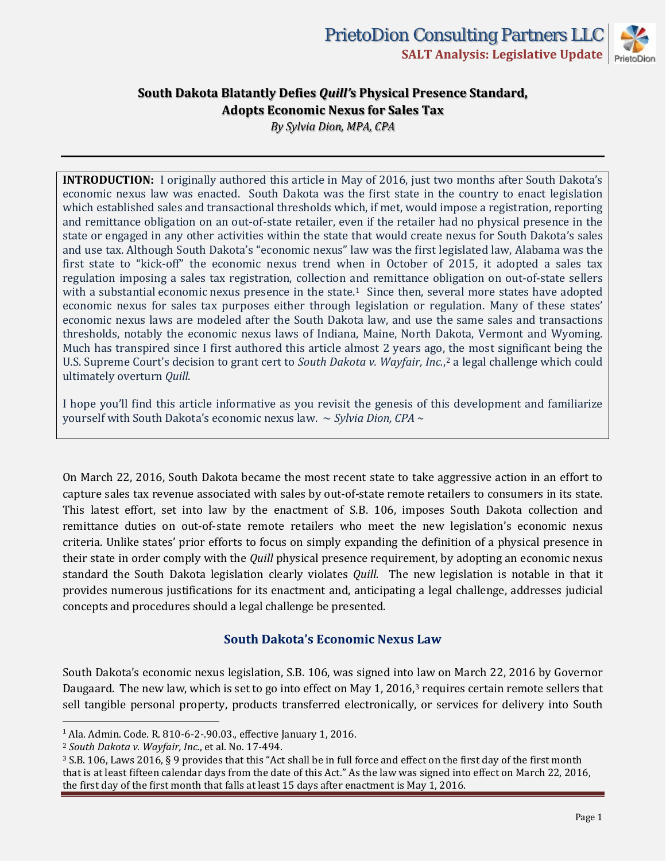

*By Sylvia Dion, MPA, CPA*

**INTRODUCTION:** I originally authored this article in May of 2016, just two months after South Dakota's economic nexus law was enacted. South Dakota was the first state in the country to enact legislation which established sales and transactional thresholds which, if met, would impose a registration, reporting and remittance obligation on an out-of-state retailer, even if the retailer had no physical presence in the state or engaged in any other activities within the state that would create nexus for South Dakota's sales and use tax. Although South Dakota's "economic nexus" law was the first legislated law, Alabama was the first state to "kick-off" the economic nexus trend when in October of 2015, it adopted a sales tax regulation imposing a sales tax registration, collection and remittance obligation on out-of-state sellers with a substantial economic nexus presence in the state.<sup>1</sup> Since then, several more states have adopted economic nexus for sales tax purposes either through legislation or regulation. Many of these states' economic nexus laws are modeled after the South Dakota law, and use the same sales and transactions thresholds, notably the economic nexus laws of Indiana, Maine, North Dakota, Vermont and Wyoming. Much has transpired since I first authored this article almost 2 years ago, the most significant being the U.S. Supreme Court's decision to grant cert to *South Dakota v. Wayfair, Inc.*,[2](#page-0-1) a legal challenge which could ultimately overturn *Quill*.

I hope you'll find this article informative as you revisit the genesis of this development and familiarize yourself with South Dakota's economic nexus law. ~ *Sylvia Dion, CPA ~*

On March 22, 2016, South Dakota became the most recent state to take aggressive action in an effort to capture sales tax revenue associated with sales by out-of-state remote retailers to consumers in its state. This latest effort, set into law by the enactment of S.B. 106, imposes South Dakota collection and remittance duties on out-of-state remote retailers who meet the new legislation's economic nexus criteria. Unlike states' prior efforts to focus on simply expanding the definition of a physical presence in their state in order comply with the *Quill* physical presence requirement, by adopting an economic nexus standard the South Dakota legislation clearly violates *Quill.* The new legislation is notable in that it provides numerous justifications for its enactment and, anticipating a legal challenge, addresses judicial concepts and procedures should a legal challenge be presented.

### **South Dakota's Economic Nexus Law**

South Dakota's economic nexus legislation, S.B. 106, was signed into law on March 22, 2016 by Governor Daugaard. The new law, which is set to go into effect on May 1, 2016,<sup>[3](#page-0-2)</sup> requires certain remote sellers that sell tangible personal property, products transferred electronically, or services for delivery into South

<span id="page-0-0"></span><sup>1</sup> Ala. Admin. Code. R. 810-6-2-.90.03., effective January 1, 2016.

<span id="page-0-1"></span><sup>2</sup> *South Dakota v. Wayfair, Inc.*, et al. No. 17-494.

<span id="page-0-2"></span><sup>&</sup>lt;sup>3</sup> S.B. 106, Laws 2016, § 9 provides that this "Act shall be in full force and effect on the first day of the first month that is at least fifteen calendar days from the date of this Act." As the law was signed into effect on March 22, 2016, the first day of the first month that falls at least 15 days after enactment is May 1, 2016.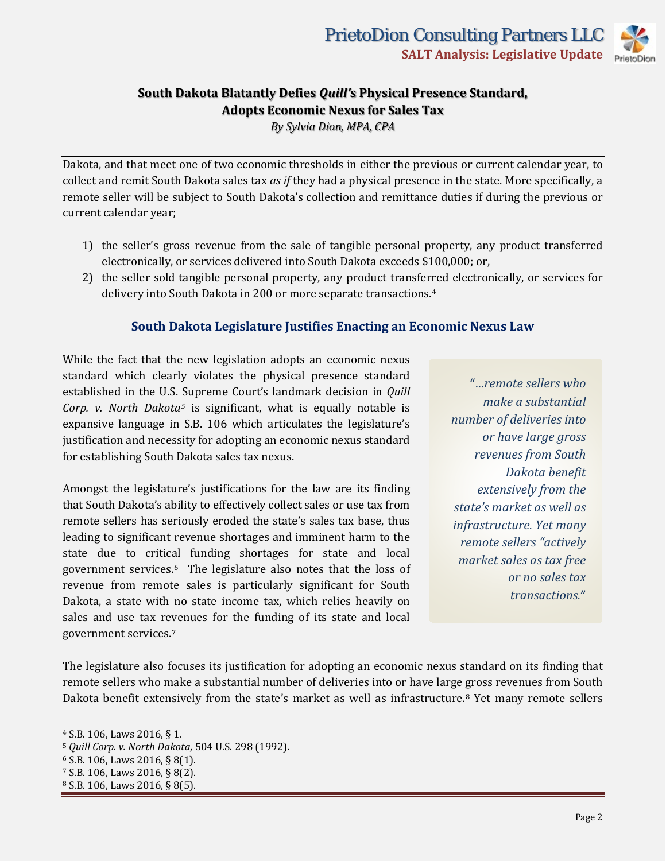*By Sylvia Dion, MPA, CPA*

Dakota, and that meet one of two economic thresholds in either the previous or current calendar year, to collect and remit South Dakota sales tax *as if* they had a physical presence in the state. More specifically, a remote seller will be subject to South Dakota's collection and remittance duties if during the previous or current calendar year;

- 1) the seller's gross revenue from the sale of tangible personal property, any product transferred electronically, or services delivered into South Dakota exceeds \$100,000; or,
- 2) the seller sold tangible personal property, any product transferred electronically, or services for delivery into South Dakota in 200 or more separate transactions[.4](#page-1-0)

### **South Dakota Legislature Justifies Enacting an Economic Nexus Law**

While the fact that the new legislation adopts an economic nexus standard which clearly violates the physical presence standard established in the U.S. Supreme Court's landmark decision in *Quill Corp. v. North Dakota[5](#page-1-1)* is significant, what is equally notable is expansive language in S.B. 106 which articulates the legislature's justification and necessity for adopting an economic nexus standard for establishing South Dakota sales tax nexus.

Amongst the legislature's justifications for the law are its finding that South Dakota's ability to effectively collect sales or use tax from remote sellers has seriously eroded the state's sales tax base, thus leading to significant revenue shortages and imminent harm to the state due to critical funding shortages for state and local government services.[6](#page-1-2) The legislature also notes that the loss of revenue from remote sales is particularly significant for South Dakota, a state with no state income tax, which relies heavily on sales and use tax revenues for the funding of its state and local government services.[7](#page-1-3)

"…*remote sellers who make a substantial number of deliveries into or have large gross revenues from South Dakota benefit extensively from the state's market as well as infrastructure. Yet many remote sellers "actively market sales as tax free or no sales tax transactions.*"

The legislature also focuses its justification for adopting an economic nexus standard on its finding that remote sellers who make a substantial number of deliveries into or have large gross revenues from South Dakota benefit extensively from the state's market as well as infrastructure.[8](#page-1-4) Yet many remote sellers

<span id="page-1-0"></span><sup>4</sup> S.B. 106, Laws 2016, § 1.

<span id="page-1-1"></span><sup>5</sup> *Quill Corp. v. North Dakota,* 504 U.S. 298 (1992).

<span id="page-1-2"></span><sup>6</sup> S.B. 106, Laws 2016, § 8(1).

<span id="page-1-3"></span><sup>7</sup> S.B. 106, Laws 2016, § 8(2).

<span id="page-1-4"></span><sup>8</sup> S.B. 106, Laws 2016, § 8(5).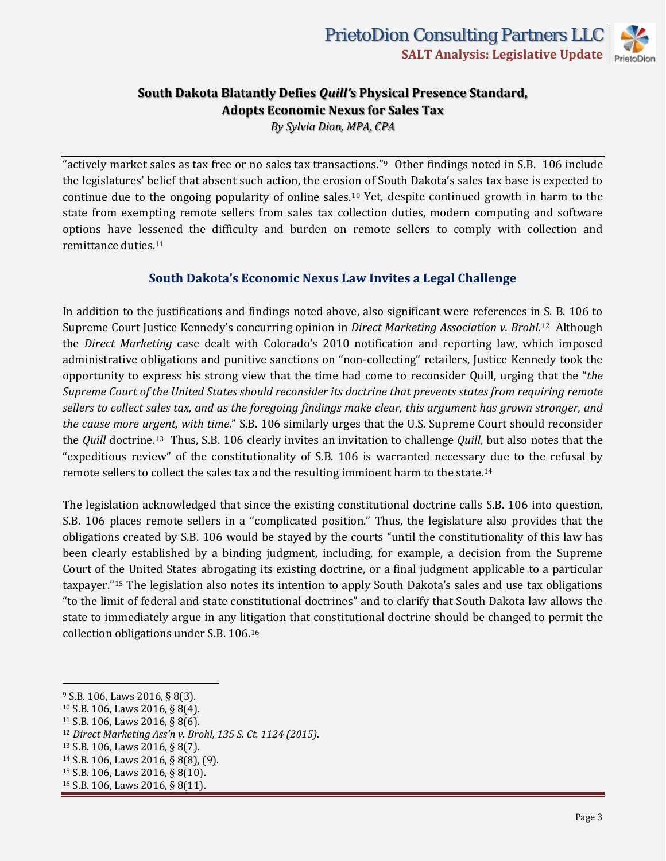

*By Sylvia Dion, MPA, CPA*

"actively market sales as tax free or no sales tax transactions."[9](#page-2-0) Other findings noted in S.B. 106 include the legislatures' belief that absent such action, the erosion of South Dakota's sales tax base is expected to continue due to the ongoing popularity of online sales.[10](#page-2-1) Yet, despite continued growth in harm to the state from exempting remote sellers from sales tax collection duties, modern computing and software options have lessened the difficulty and burden on remote sellers to comply with collection and remittance duties.[11](#page-2-2)

### **South Dakota's Economic Nexus Law Invites a Legal Challenge**

In addition to the justifications and findings noted above, also significant were references in [S](#page-2-3). B. 106 to Supreme Court Justice Kennedy's concurring opinion in *Direct Marketing Association v. Brohl.*<sup>12</sup> Although the *Direct Marketing* case dealt with Colorado's 2010 notification and reporting law, which imposed administrative obligations and punitive sanctions on "non-collecting" retailers, Justice Kennedy took the opportunity to express his strong view that the time had come to reconsider Quill, urging that the "*the Supreme Court of the United States should reconsider its doctrine that prevents states from requiring remote sellers to collect sales tax, and as the foregoing findings make clear, this argument has grown stronger, and the cause more ur[ge](#page-2-4)nt, with time.*" S.B. 106 similarly urges that the U.S. Supreme Court should reconsider the *Quill* doctrine.13 Thus, S.B. 106 clearly invites an invitation to challenge *Quill*, but also notes that the "expeditious review" of the constitutionality of S.B. 106 is warranted necessary due to the refusal by remote sellers to collect the sales tax and the resulting imminent harm to the state.[14](#page-2-5)

The legislation acknowledged that since the existing constitutional doctrine calls S.B. 106 into question, S.B. 106 places remote sellers in a "complicated position." Thus, the legislature also provides that the obligations created by S.B. 106 would be stayed by the courts "until the constitutionality of this law has been clearly established by a binding judgment, including, for example, a decision from the Supreme Court of t[he](#page-2-6) United States abrogating its existing doctrine, or a final judgment applicable to a particular taxpayer."15 The legislation also notes its intention to apply South Dakota's sales and use tax obligations "to the limit of federal and state constitutional doctrines" and to clarify that South Dakota law allows the state to immediately argue in any lit[ig](#page-2-7)ation that constitutional doctrine should be changed to permit the collection obligations under S.B. 106.16

<span id="page-2-0"></span><sup>9</sup> S.B. 106, Laws 2016, § 8(3).

<span id="page-2-1"></span><sup>10</sup> S.B. 106, Laws 2016, § 8(4).

<span id="page-2-2"></span><sup>11</sup> S.B. 106, Laws 2016, § 8(6).

<span id="page-2-3"></span><sup>12</sup> *Direct Marketing Ass'n v. Brohl, 135 S. Ct. 1124 (2015)*.

<span id="page-2-4"></span><sup>13</sup> S.B. 106, Laws 2016, § 8(7).

<span id="page-2-5"></span><sup>14</sup> S.B. 106, Laws 2016, § 8(8), (9).

<span id="page-2-6"></span><sup>15</sup> S.B. 106, Laws 2016, § 8(10).

<span id="page-2-7"></span><sup>16</sup> S.B. 106, Laws 2016, § 8(11).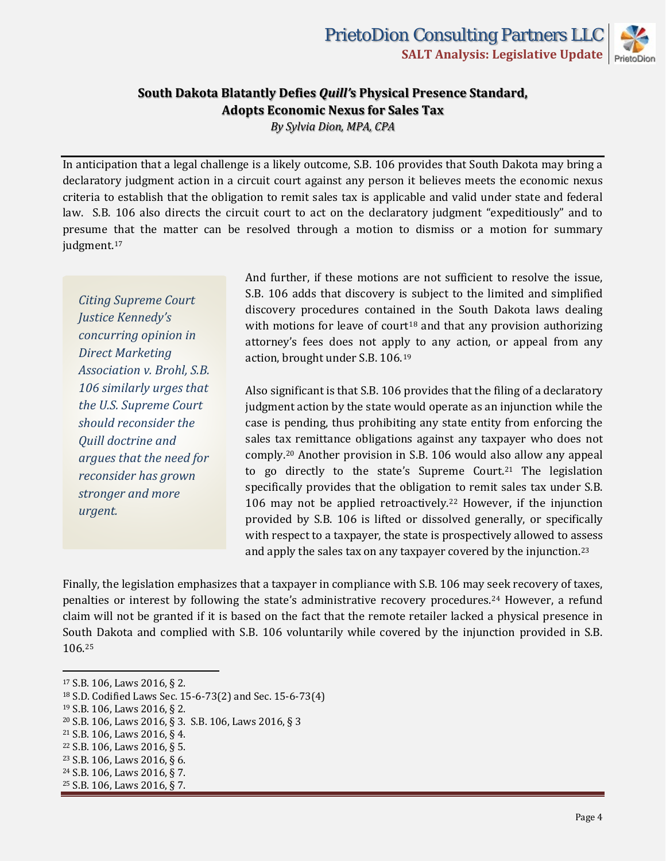*By Sylvia Dion, MPA, CPA*

In anticipation that a legal challenge is a likely outcome, S.B. 106 provides that South Dakota may bring a declaratory judgment action in a circuit court against any person it believes meets the economic nexus criteria to establish that the obligation to remit sales tax is applicable and valid under state and federal law. S.B. 106 also directs the circuit court to act on the declaratory judgment "expeditiously" and to presume that the matter can be resolved through a motion to dismiss or a motion for summary judgment.<sup>[17](#page-3-0)</sup>

*Citing Supreme Court Justice Kennedy's concurring opinion in Direct Marketing Association v. Brohl, S.B. 106 similarly urges that the U.S. Supreme Court should reconsider the Quill doctrine and argues that the need for reconsider has grown stronger and more urgent.*

And further, if these motions are not sufficient to resolve the issue, S.B. 106 adds that discovery is subject to the limited and simplified discovery procedures contained in the South Dakota laws dealing with motions for leave of court<sup>[18](#page-3-1)</sup> and that any provision authorizing attorney's fees does not apply to any action, or appeal from any action, brought under S.B. 106.[19](#page-3-2)

Also significant is that S.B. 106 provides that the filing of a declaratory judgment action by the state would operate as an injunction while the case is pending, thus prohibiting any state entity from enforcing the sales tax remittance obligations against any taxpayer who does not comply.[20](#page-3-3) Another provision in S.B. 106 would also allow any appeal to go directly to the state's Supreme Court.<sup>[21](#page-3-4)</sup> The legislation specifically provides that the obligation to remit sales tax under S.B. 106 may not be applied retroactively.[22](#page-3-5) However, if the injunction provided by S.B. 106 is lifted or dissolved generally, or specifically with respect to a taxpayer, the state is prospectively allowed to assess and apply the sales tax on any taxpayer covered by the injunction.[23](#page-3-6)

Finally, the legislation emphasizes that a taxpayer in compliance with S.B. 106 may seek recovery of taxes, penalties or interest by following the state's administrative recovery procedures.[24](#page-3-7) However, a refund claim will not be granted if it is based on the fact that the remote retailer lacked a physical presence in South Dakota and complied with S.B. 106 voluntarily while covered by the injunction provided in S.B. 106.[25](#page-3-8)

<span id="page-3-0"></span><sup>17</sup> S.B. 106, Laws 2016, § 2.

<span id="page-3-1"></span><sup>18</sup> S.D. Codified Laws Sec. 15-6-73(2) and Sec. 15-6-73(4)

<span id="page-3-2"></span><sup>19</sup> S.B. 106, Laws 2016, § 2.

<span id="page-3-3"></span><sup>20</sup> S.B. 106, Laws 2016, § 3. S.B. 106, Laws 2016, § 3

<span id="page-3-4"></span><sup>21</sup> S.B. 106, Laws 2016, § 4.

<span id="page-3-5"></span><sup>22</sup> S.B. 106, Laws 2016, § 5.

<span id="page-3-6"></span><sup>23</sup> S.B. 106, Laws 2016, § 6.

<span id="page-3-7"></span><sup>24</sup> S.B. 106, Laws 2016, § 7.

<span id="page-3-8"></span><sup>25</sup> S.B. 106, Laws 2016, § 7.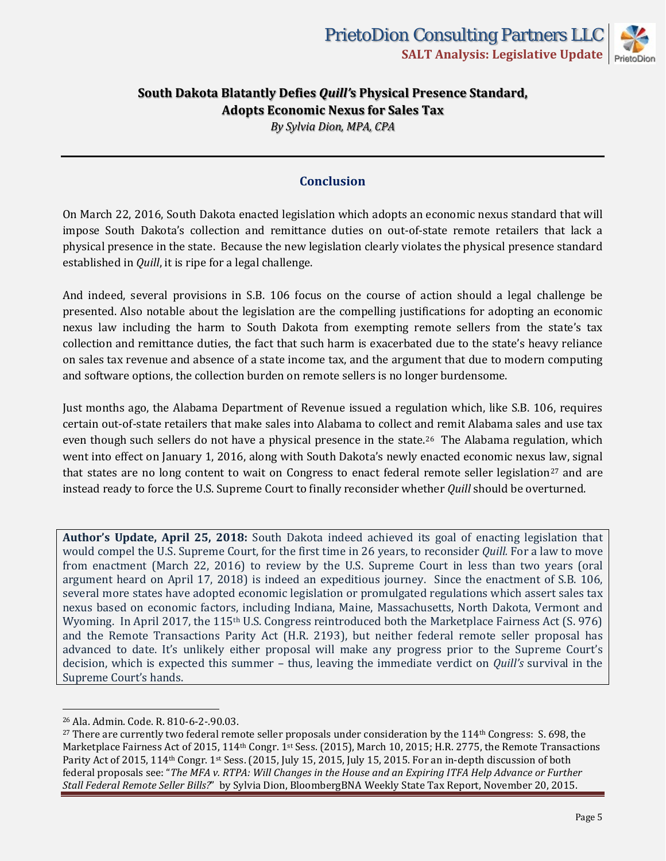*By Sylvia Dion, MPA, CPA*

#### **Conclusion**

On March 22, 2016, South Dakota enacted legislation which adopts an economic nexus standard that will impose South Dakota's collection and remittance duties on out-of-state remote retailers that lack a physical presence in the state. Because the new legislation clearly violates the physical presence standard established in *Quill*, it is ripe for a legal challenge.

And indeed, several provisions in S.B. 106 focus on the course of action should a legal challenge be presented. Also notable about the legislation are the compelling justifications for adopting an economic nexus law including the harm to South Dakota from exempting remote sellers from the state's tax collection and remittance duties, the fact that such harm is exacerbated due to the state's heavy reliance on sales tax revenue and absence of a state income tax, and the argument that due to modern computing and software options, the collection burden on remote sellers is no longer burdensome.

Just months ago, the Alabama Department of Revenue issued a regulation which, like S.B. 106, requires certain out-of-state retailers that make sales into Alabama to collect and remit Alabama sales and use tax even though such sellers do not have a physical presence in the state.<sup>[26](#page-4-0)</sup> The Alabama regulation, which went into effect on January 1, 2016, along with South Dakota's newly enacted economic nexus law, signal that states are no long content to wait on Congress to enact federal remote seller legislation<sup>[27](#page-4-1)</sup> and are instead ready to force the U.S. Supreme Court to finally reconsider whether *Quill* should be overturned.

**Author's Update, April 25, 2018:** South Dakota indeed achieved its goal of enacting legislation that would compel the U.S. Supreme Court, for the first time in 26 years, to reconsider *Quill.* For a law to move from enactment (March 22, 2016) to review by the U.S. Supreme Court in less than two years (oral argument heard on April 17, 2018) is indeed an expeditious journey. Since the enactment of S.B. 106, several more states have adopted economic legislation or promulgated regulations which assert sales tax nexus based on economic factors, including Indiana, Maine, Massachusetts, North Dakota, Vermont and Wyoming. In April 2017, the 115th U.S. Congress reintroduced both the Marketplace Fairness Act (S. 976) and the Remote Transactions Parity Act (H.R. 2193), but neither federal remote seller proposal has advanced to date. It's unlikely either proposal will make any progress prior to the Supreme Court's decision, which is expected this summer – thus, leaving the immediate verdict on *Quill's* survival in the Supreme Court's hands.

<span id="page-4-0"></span><sup>26</sup> Ala. Admin. Code. R. 810-6-2-.90.03.

<span id="page-4-1"></span> $27$  There are currently two federal remote seller proposals under consideration by the  $114<sup>th</sup>$  Congress: S. 698, the Marketplace Fairness Act of 2015, 114<sup>th</sup> Congr. 1<sup>st</sup> Sess. (2015), March 10, 2015; H.R. 2775, the Remote Transactions Parity Act of 2015, 114<sup>th</sup> Congr. 1<sup>st</sup> Sess. (2015, July 15, 2015, July 15, 2015. For an in-depth discussion of both federal proposals see: "*The MFA v. RTPA: Will Changes in the House and an Expiring ITFA Help Advance or Further Stall Federal Remote Seller Bills?*" by Sylvia Dion, BloombergBNA Weekly State Tax Report, November 20, 2015.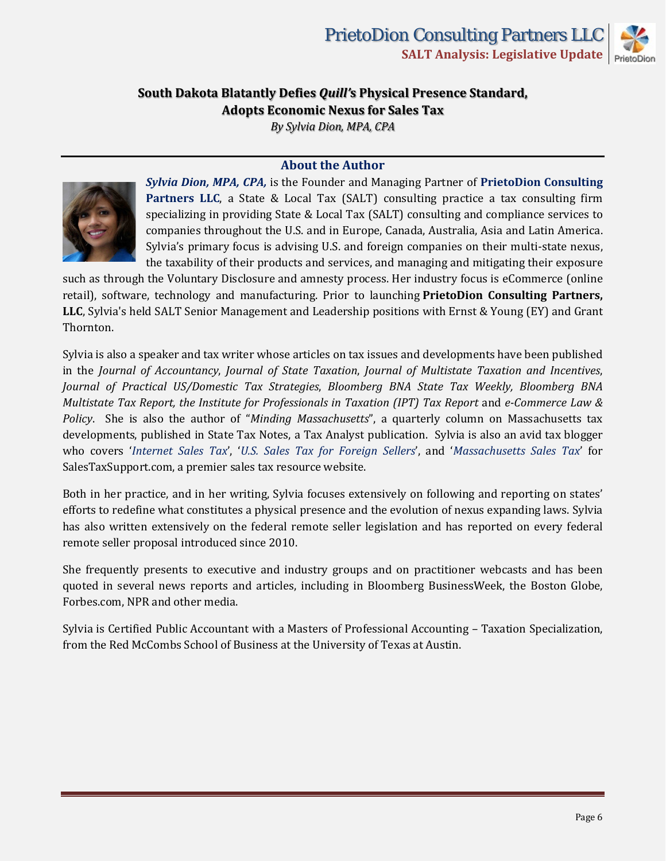

*By Sylvia Dion, MPA, CPA*

#### **About the Author**



*Sylvia Dion, MPA, CPA,* is the Founder and Managing Partner of **[PrietoDion Consulting](http://www.sylviadioncpa.com/)  [Partners LLC](http://www.sylviadioncpa.com/)**, a State & Local Tax (SALT) consulting practice a tax consulting firm specializing in providing State & Local Tax (SALT) consulting and compliance services to companies throughout the U.S. and in Europe, Canada, Australia, Asia and Latin America. Sylvia's primary focus is advising U.S. and foreign companies on their multi-state nexus, the taxability of their products and services, and managing and mitigating their exposure

such as through the Voluntary Disclosure and amnesty process. Her industry focus is eCommerce (online retail), software, technology and manufacturing. Prior to launching **PrietoDion Consulting Partners, LLC**, Sylvia's held SALT Senior Management and Leadership positions with Ernst & Young (EY) and Grant Thornton.

Sylvia is also a speaker and tax writer whose articles on tax issues and developments have been published in the *Journal of Accountancy*, *Journal of State Taxation*, *Journal of Multistate Taxation and Incentives*, *Journal of Practical US/Domestic Tax Strategies*, *Bloomberg BNA State Tax Weekly, Bloomberg BNA Multistate Tax Report, the Institute for Professionals in Taxation (IPT) Tax Report* and *e-Commerce Law & Policy*. She is also the author of "*Minding Massachusetts*", a quarterly column on Massachusetts tax developments, published in State Tax Notes, a Tax Analyst publication. Sylvia is also an avid tax blogger who covers '*[Internet Sales Tax](http://www.salestaxsupport.com/blogs/sales-use-tax/author/sylviadion/)*', '*[U.S. Sales Tax for Foreign Sellers](http://www.salestaxsupport.com/blogs/industry/author/sylviafdion/)*', and '*[Massachusetts Sales Tax](http://www.salestaxsupport.com/blogs/state/massachusetts/ma-exemption-certificates-drop-shipper-catch-22/)*' for SalesTaxSupport.com, a premier sales tax resource website.

Both in her practice, and in her writing, Sylvia focuses extensively on following and reporting on states' efforts to redefine what constitutes a physical presence and the evolution of nexus expanding laws. Sylvia has also written extensively on the federal remote seller legislation and has reported on every federal remote seller proposal introduced since 2010.

She frequently presents to executive and industry groups and on practitioner webcasts and has been quoted in several news reports and articles, including in Bloomberg BusinessWeek, the Boston Globe, Forbes.com, NPR and other media.

Sylvia is Certified Public Accountant with a Masters of Professional Accounting – Taxation Specialization, from the Red McCombs School of Business at the University of Texas at Austin.